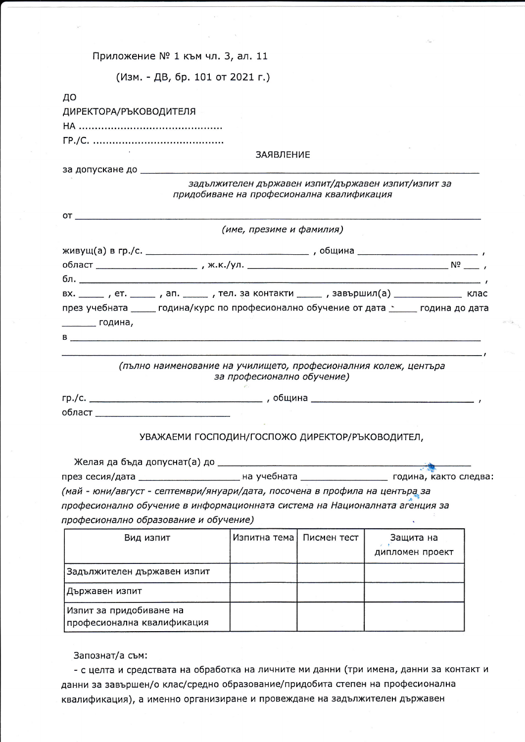Приложение № 1 към чл. 3, ал. 11

(Изм. - ДВ, бр. 101 от 2021 г.)

| ДИРЕКТОРА/РЪКОВОДИТЕЛЯ                                                                                                                                                                                                         |  |
|--------------------------------------------------------------------------------------------------------------------------------------------------------------------------------------------------------------------------------|--|
|                                                                                                                                                                                                                                |  |
|                                                                                                                                                                                                                                |  |
| ЗАЯВЛЕНИЕ                                                                                                                                                                                                                      |  |
| за допускане до полности по полности по полности по полности по полности по полности по полности по                                                                                                                            |  |
| задължителен държавен изпит/държавен изпит/изпит за<br>придобиване на професионална квалификация                                                                                                                               |  |
|                                                                                                                                                                                                                                |  |
| (име, презиме и фамилия)                                                                                                                                                                                                       |  |
|                                                                                                                                                                                                                                |  |
|                                                                                                                                                                                                                                |  |
| бл. <u>————————————————————————</u>                                                                                                                                                                                            |  |
| вх. ______ , ет. ______ , ап. ______ , тел. за контакти ______ , завършил(а) ________________ клас                                                                                                                             |  |
| през учебната _____ година/курс по професионално обучение от дата space подина до дата                                                                                                                                         |  |
| _________ година <b>,</b>                                                                                                                                                                                                      |  |
| B and the contract of the contract of the contract of the contract of the contract of the contract of the contract of the contract of the contract of the contract of the contract of the contract of the contract of the cont |  |
|                                                                                                                                                                                                                                |  |
| (пълно наименование на училището, професионалния колеж, центъра                                                                                                                                                                |  |
| за професионално обучение)                                                                                                                                                                                                     |  |
|                                                                                                                                                                                                                                |  |
|                                                                                                                                                                                                                                |  |
|                                                                                                                                                                                                                                |  |
| УВАЖАЕМИ ГОСПОДИН/ГОСПОЖО ДИРЕКТОР/РЪКОВОДИТЕЛ,                                                                                                                                                                                |  |
|                                                                                                                                                                                                                                |  |
|                                                                                                                                                                                                                                |  |
|                                                                                                                                                                                                                                |  |
| <b><u>Вилически приметни на учебната</u></b><br>през сесия/дата                                                                                                                                                                |  |
| (май - юни/август - септември/януари/дата, посочена в профила на центъра за                                                                                                                                                    |  |
| професионално обучение в информационната система на Националната агенция за                                                                                                                                                    |  |
| професионално образование и обучение)                                                                                                                                                                                          |  |
| Изпитна тема<br>Писмен тест<br>Вид изпит<br>Защита на                                                                                                                                                                          |  |
| дипломен проект                                                                                                                                                                                                                |  |
| Задължителен държавен изпит                                                                                                                                                                                                    |  |
| Държавен изпит                                                                                                                                                                                                                 |  |
| Изпит за придобиване на                                                                                                                                                                                                        |  |
| професионална квалификация                                                                                                                                                                                                     |  |
|                                                                                                                                                                                                                                |  |
| Запознат/а съм:                                                                                                                                                                                                                |  |

данни за завършен/о клас/средно образование/придобита степен на професионална квалификация), а именно организиране и провеждане на задължителен държавен